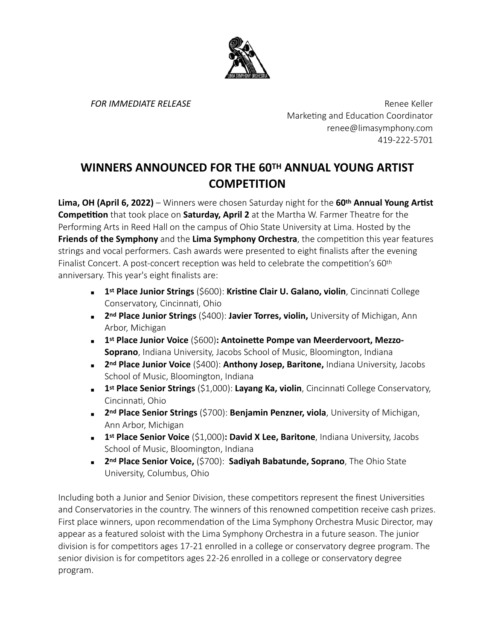

*FOR IMMEDIATE RELEASE* Renee Keller Marketing and Education Coordinator renee@limasymphony.com 419-222-5701

## **WINNERS ANNOUNCED FOR THE 60TH ANNUAL YOUNG ARTIST COMPETITION**

**Lima, OH (April 6, 2022)** – Winners were chosen Saturday night for the 60<sup>th</sup> Annual Young Artist **Competition** that took place on **Saturday, April 2** at the Martha W. Farmer Theatre for the Performing Arts in Reed Hall on the campus of Ohio State University at Lima. Hosted by the **Friends of the Symphony** and the Lima Symphony Orchestra, the competition this year features strings and vocal performers. Cash awards were presented to eight finalists after the evening Finalist Concert. A post-concert reception was held to celebrate the competition's 60<sup>th</sup> anniversary. This year's eight finalists are:

- **1 1st Place Junior Strings** (\$600): **Kristine Clair U. Galano, violin**, Cincinnati College Conservatory, Cincinnati, Ohio
- **2<sup>nd</sup> Place Junior Strings** (\$400): **Javier Torres, violin,** University of Michigan, Ann Arbor, Michigan
- **1** 1st Place Junior Voice (\$600): Antoinette Pompe van Meerdervoort, Mezzo-**Soprano**, Indiana University, Jacobs School of Music, Bloomington, Indiana
- **2<sup>nd</sup> Place Junior Voice** (\$400): **Anthony Josep, Baritone,** Indiana University, Jacobs School of Music, Bloomington, Indiana
- **1 1st Place Senior Strings** (\$1,000): Layang Ka, violin, Cincinnati College Conservatory, Cincinnati, Ohio
- **2<sup>nd</sup> Place Senior Strings** (\$700): **Benjamin Penzner, viola**, University of Michigan, Ann Arbor, Michigan
- **1 1st Place Senior Voice** (\$1,000): **David X Lee, Baritone**, Indiana University, Jacobs School of Music, Bloomington, Indiana
- **2nd Place Senior Voice,** (\$700): **Sadiyah Babatunde, Soprano**, The Ohio State University, Columbus, Ohio

Including both a Junior and Senior Division, these competitors represent the finest Universities and Conservatories in the country. The winners of this renowned competition receive cash prizes. First place winners, upon recommendation of the Lima Symphony Orchestra Music Director, may appear as a featured soloist with the Lima Symphony Orchestra in a future season. The junior division is for competitors ages 17-21 enrolled in a college or conservatory degree program. The senior division is for competitors ages 22-26 enrolled in a college or conservatory degree program.